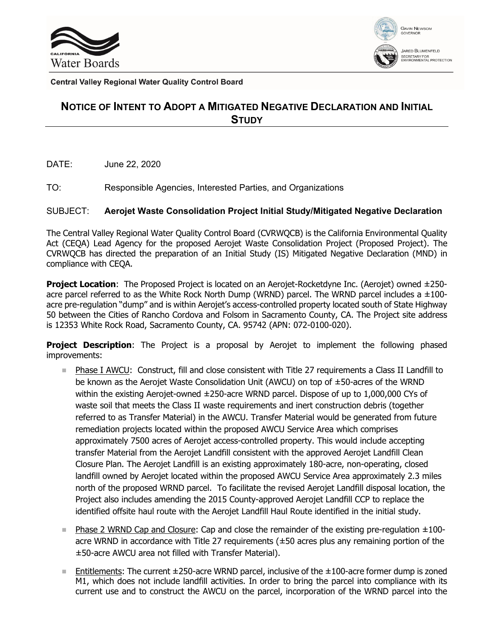



**Central Valley Regional Water Quality Control Board** 

## **NOTICE OF INTENT TO ADOPT A MITIGATED NEGATIVE DECLARATION AND INITIAL STUDY**

DATE: June 22, 2020

TO: Responsible Agencies, Interested Parties, and Organizations

## SUBJECT: **Aerojet Waste Consolidation Project Initial Study/Mitigated Negative Declaration**

The Central Valley Regional Water Quality Control Board (CVRWQCB) is the California Environmental Quality Act (CEQA) Lead Agency for the proposed Aerojet Waste Consolidation Project (Proposed Project). The CVRWQCB has directed the preparation of an Initial Study (IS) Mitigated Negative Declaration (MND) in compliance with CEQA.

**Project Location**: The Proposed Project is located on an Aerojet-Rocketdyne Inc. (Aerojet) owned ±250 acre parcel referred to as the White Rock North Dump (WRND) parcel. The WRND parcel includes a  $\pm 100$ acre pre-regulation "dump" and is within Aerojet's access-controlled property located south of State Highway 50 between the Cities of Rancho Cordova and Folsom in Sacramento County, CA. The Project site address is 12353 White Rock Road, Sacramento County, CA. 95742 (APN: 072-0100-020).

**Project Description**: The Project is a proposal by Aerojet to implement the following phased improvements:

- Phase I AWCU: Construct, fill and close consistent with Title 27 requirements a Class II Landfill to be known as the Aerojet Waste Consolidation Unit (AWCU) on top of ±50-acres of the WRND within the existing Aerojet-owned ±250-acre WRND parcel. Dispose of up to 1,000,000 CYs of waste soil that meets the Class II waste requirements and inert construction debris (together referred to as Transfer Material) in the AWCU. Transfer Material would be generated from future remediation projects located within the proposed AWCU Service Area which comprises approximately 7500 acres of Aerojet access-controlled property. This would include accepting transfer Material from the Aerojet Landfill consistent with the approved Aerojet Landfill Clean Closure Plan. The Aerojet Landfill is an existing approximately 180-acre, non-operating, closed landfill owned by Aerojet located within the proposed AWCU Service Area approximately 2.3 miles north of the proposed WRND parcel. To facilitate the revised Aerojet Landfill disposal location, the Project also includes amending the 2015 County-approved Aerojet Landfill CCP to replace the identified offsite haul route with the Aerojet Landfill Haul Route identified in the initial study.
- Phase 2 WRND Cap and Closure: Cap and close the remainder of the existing pre-regulation  $\pm 100$ acre WRND in accordance with Title 27 requirements (±50 acres plus any remaining portion of the ±50-acre AWCU area not filled with Transfer Material).
- Entitlements: The current  $\pm 250$ -acre WRND parcel, inclusive of the  $\pm 100$ -acre former dump is zoned M1, which does not include landfill activities. In order to bring the parcel into compliance with its current use and to construct the AWCU on the parcel, incorporation of the WRND parcel into the